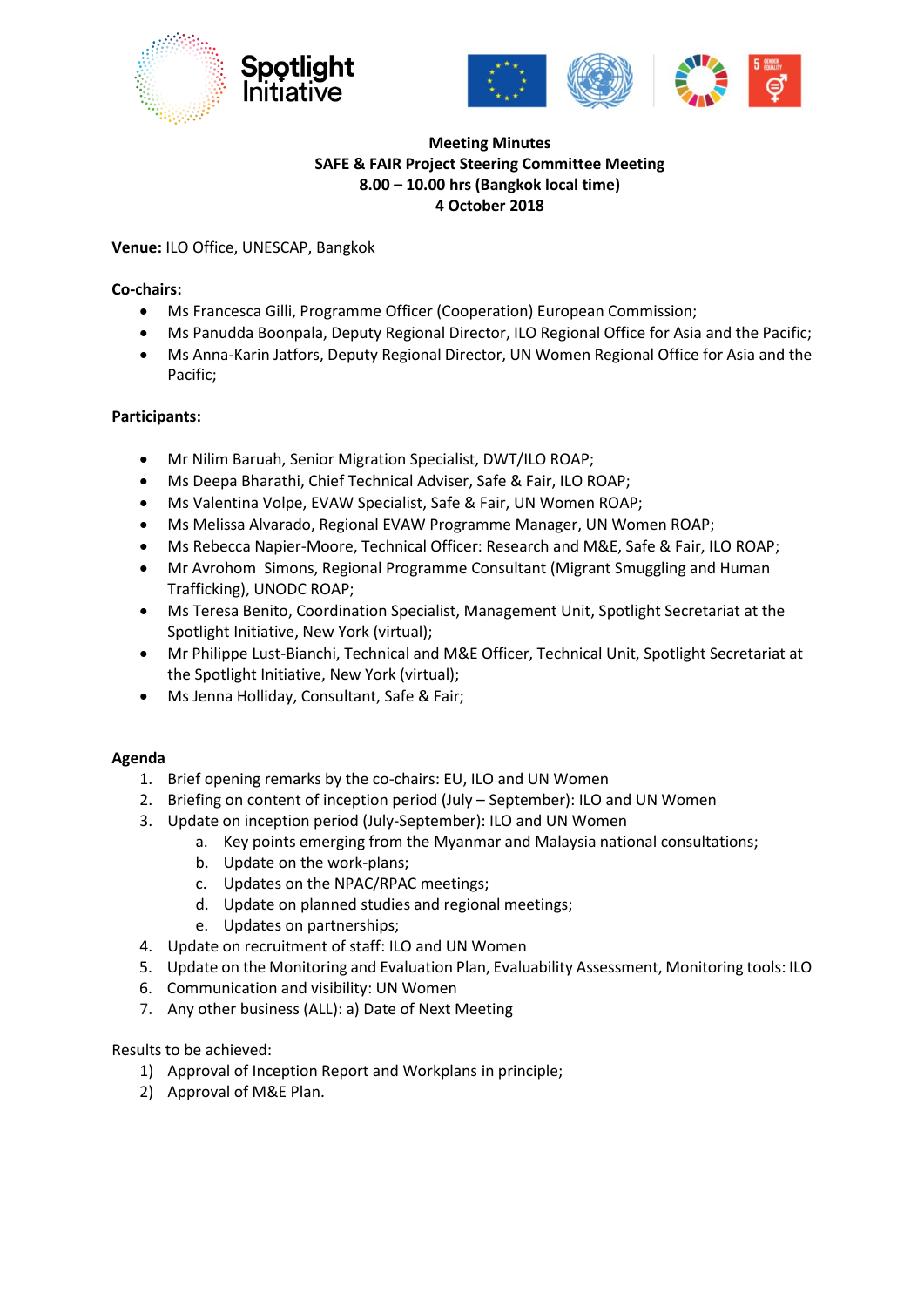





# **Meeting Minutes SAFE & FAIR Project Steering Committee Meeting 8.00 – 10.00 hrs (Bangkok local time) 4 October 2018**

## **Venue:** ILO Office, UNESCAP, Bangkok

# **Co-chairs:**

- Ms Francesca Gilli, Programme Officer (Cooperation) European Commission;
- Ms Panudda Boonpala, Deputy Regional Director, ILO Regional Office for Asia and the Pacific;
- Ms Anna-Karin Jatfors, Deputy Regional Director, UN Women Regional Office for Asia and the Pacific;

# **Participants:**

- Mr Nilim Baruah, Senior Migration Specialist, DWT/ILO ROAP;
- Ms Deepa Bharathi, Chief Technical Adviser, Safe & Fair, ILO ROAP;
- Ms Valentina Volpe, EVAW Specialist, Safe & Fair, UN Women ROAP;
- Ms Melissa Alvarado, Regional EVAW Programme Manager, UN Women ROAP;
- Ms Rebecca Napier-Moore, Technical Officer: Research and M&E, Safe & Fair, ILO ROAP;
- Mr Avrohom Simons, Regional Programme Consultant (Migrant Smuggling and Human Trafficking), UNODC ROAP;
- Ms Teresa Benito, Coordination Specialist, Management Unit, Spotlight Secretariat at the Spotlight Initiative, New York (virtual);
- Mr Philippe Lust-Bianchi, Technical and M&E Officer, Technical Unit, Spotlight Secretariat at the Spotlight Initiative, New York (virtual);
- Ms Jenna Holliday, Consultant, Safe & Fair;

## **Agenda**

- 1. Brief opening remarks by the co-chairs: EU, ILO and UN Women
- 2. Briefing on content of inception period (July September): ILO and UN Women
- 3. Update on inception period (July-September): ILO and UN Women
	- a. Key points emerging from the Myanmar and Malaysia national consultations;
		- b. Update on the work-plans;
		- c. Updates on the NPAC/RPAC meetings;
		- d. Update on planned studies and regional meetings;
		- e. Updates on partnerships;
- 4. Update on recruitment of staff: ILO and UN Women
- 5. Update on the Monitoring and Evaluation Plan, Evaluability Assessment, Monitoring tools: ILO
- 6. Communication and visibility: UN Women
- 7. Any other business (ALL): a) Date of Next Meeting

Results to be achieved:

- 1) Approval of Inception Report and Workplans in principle;
- 2) Approval of M&E Plan.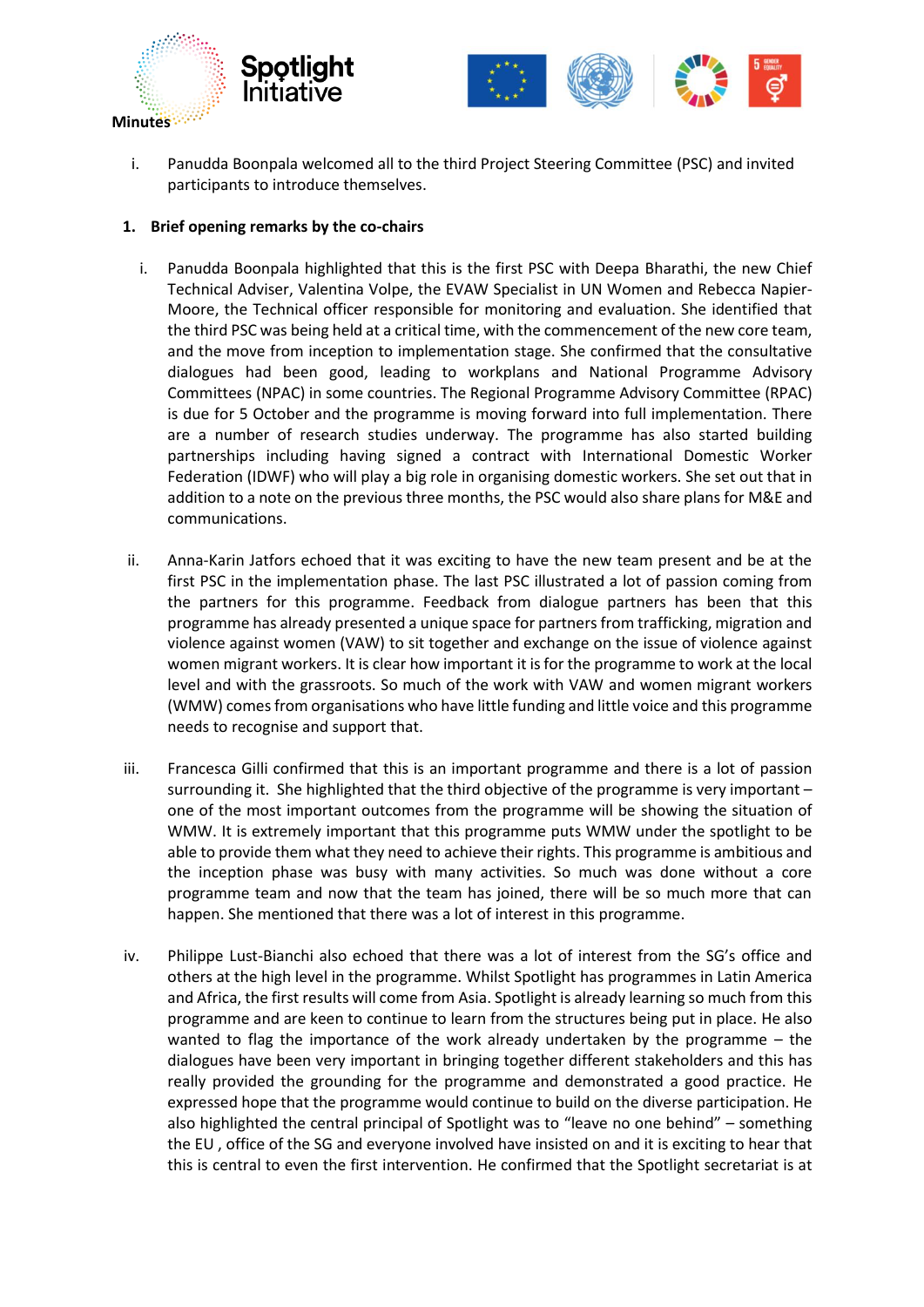



i. Panudda Boonpala welcomed all to the third Project Steering Committee (PSC) and invited participants to introduce themselves.

#### **1. Brief opening remarks by the co-chairs**

- i. Panudda Boonpala highlighted that this is the first PSC with Deepa Bharathi, the new Chief Technical Adviser, Valentina Volpe, the EVAW Specialist in UN Women and Rebecca Napier-Moore, the Technical officer responsible for monitoring and evaluation. She identified that the third PSC was being held at a critical time, with the commencement of the new core team, and the move from inception to implementation stage. She confirmed that the consultative dialogues had been good, leading to workplans and National Programme Advisory Committees (NPAC) in some countries. The Regional Programme Advisory Committee (RPAC) is due for 5 October and the programme is moving forward into full implementation. There are a number of research studies underway. The programme has also started building partnerships including having signed a contract with International Domestic Worker Federation (IDWF) who will play a big role in organising domestic workers. She set out that in addition to a note on the previous three months, the PSC would also share plans for M&E and communications.
- ii. Anna-Karin Jatfors echoed that it was exciting to have the new team present and be at the first PSC in the implementation phase. The last PSC illustrated a lot of passion coming from the partners for this programme. Feedback from dialogue partners has been that this programme has already presented a unique space for partners from trafficking, migration and violence against women (VAW) to sit together and exchange on the issue of violence against women migrant workers. It is clear how important it is for the programme to work at the local level and with the grassroots. So much of the work with VAW and women migrant workers (WMW) comes from organisations who have little funding and little voice and this programme needs to recognise and support that.
- iii. Francesca Gilli confirmed that this is an important programme and there is a lot of passion surrounding it. She highlighted that the third objective of the programme is very important – one of the most important outcomes from the programme will be showing the situation of WMW. It is extremely important that this programme puts WMW under the spotlight to be able to provide them what they need to achieve their rights. This programme is ambitious and the inception phase was busy with many activities. So much was done without a core programme team and now that the team has joined, there will be so much more that can happen. She mentioned that there was a lot of interest in this programme.
- iv. Philippe Lust-Bianchi also echoed that there was a lot of interest from the SG's office and others at the high level in the programme. Whilst Spotlight has programmes in Latin America and Africa, the first results will come from Asia. Spotlight is already learning so much from this programme and are keen to continue to learn from the structures being put in place. He also wanted to flag the importance of the work already undertaken by the programme – the dialogues have been very important in bringing together different stakeholders and this has really provided the grounding for the programme and demonstrated a good practice. He expressed hope that the programme would continue to build on the diverse participation. He also highlighted the central principal of Spotlight was to "leave no one behind" – something the EU , office of the SG and everyone involved have insisted on and it is exciting to hear that this is central to even the first intervention. He confirmed that the Spotlight secretariat is at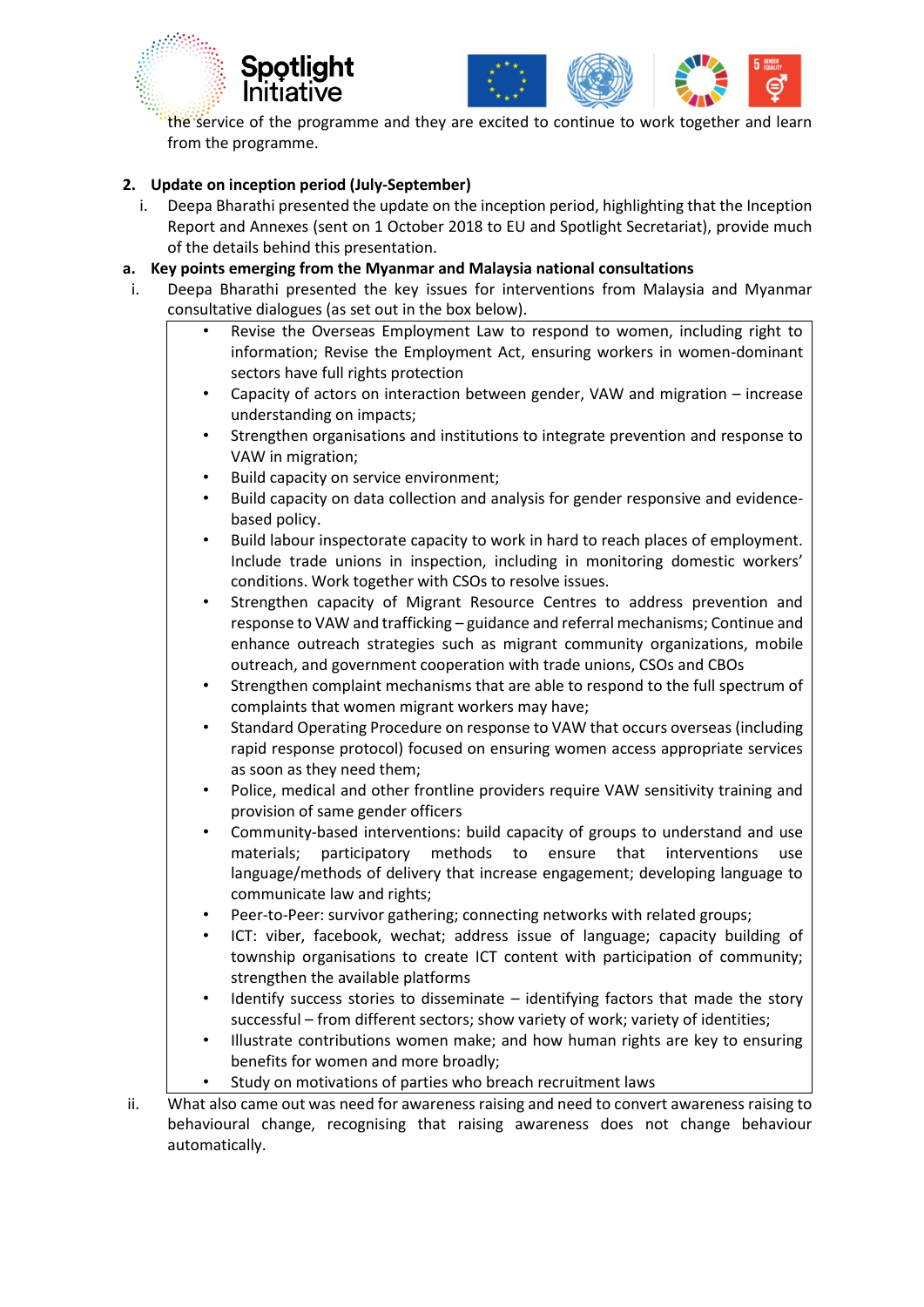



the service of the programme and they are excited to continue to work together and learn from the programme.

# **2. Update on inception period (July-September)**

i. Deepa Bharathi presented the update on the inception period, highlighting that the Inception Report and Annexes (sent on 1 October 2018 to EU and Spotlight Secretariat), provide much of the details behind this presentation.

#### **a. Key points emerging from the Myanmar and Malaysia national consultations**

- i. Deepa Bharathi presented the key issues for interventions from Malaysia and Myanmar consultative dialogues (as set out in the box below).
	- Revise the Overseas Employment Law to respond to women, including right to information; Revise the Employment Act, ensuring workers in women-dominant sectors have full rights protection
	- Capacity of actors on interaction between gender, VAW and migration increase understanding on impacts;
	- Strengthen organisations and institutions to integrate prevention and response to VAW in migration;
	- Build capacity on service environment;
	- Build capacity on data collection and analysis for gender responsive and evidencebased policy.
	- Build labour inspectorate capacity to work in hard to reach places of employment. Include trade unions in inspection, including in monitoring domestic workers' conditions. Work together with CSOs to resolve issues.
	- Strengthen capacity of Migrant Resource Centres to address prevention and response to VAW and trafficking – guidance and referral mechanisms; Continue and enhance outreach strategies such as migrant community organizations, mobile outreach, and government cooperation with trade unions, CSOs and CBOs
	- Strengthen complaint mechanisms that are able to respond to the full spectrum of complaints that women migrant workers may have;
	- Standard Operating Procedure on response to VAW that occurs overseas (including rapid response protocol) focused on ensuring women access appropriate services as soon as they need them;
	- Police, medical and other frontline providers require VAW sensitivity training and provision of same gender officers
	- Community-based interventions: build capacity of groups to understand and use materials; participatory methods to ensure that interventions use language/methods of delivery that increase engagement; developing language to communicate law and rights;
	- Peer-to-Peer: survivor gathering; connecting networks with related groups;
	- ICT: viber, facebook, wechat; address issue of language; capacity building of township organisations to create ICT content with participation of community; strengthen the available platforms
	- Identify success stories to disseminate  $-$  identifying factors that made the story successful – from different sectors; show variety of work; variety of identities;
	- Illustrate contributions women make; and how human rights are key to ensuring benefits for women and more broadly;
	- Study on motivations of parties who breach recruitment laws

ii. What also came out was need for awareness raising and need to convert awareness raising to behavioural change, recognising that raising awareness does not change behaviour automatically.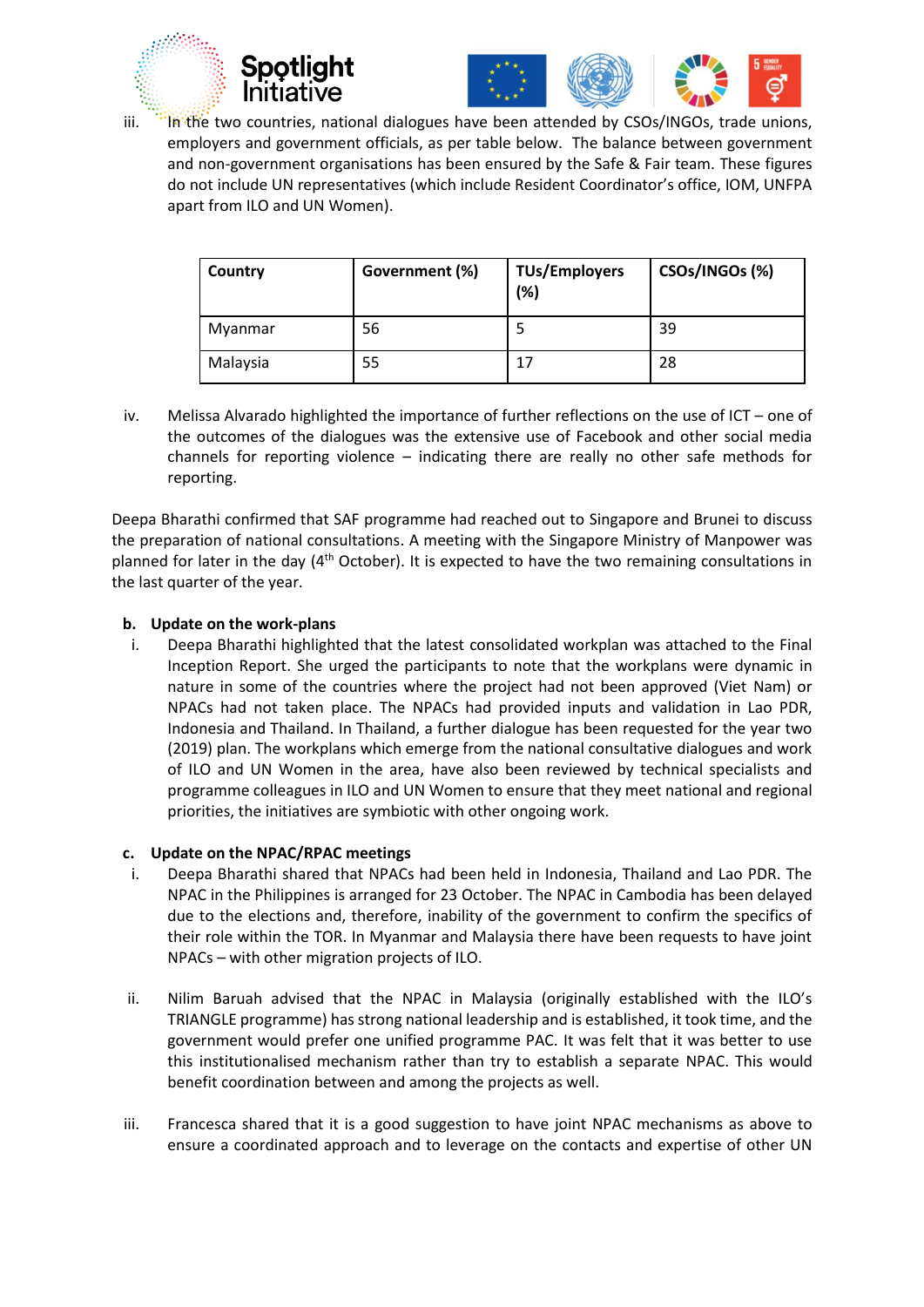





iii. In the two countries, national dialogues have been attended by CSOs/INGOs, trade unions, employers and government officials, as per table below. The balance between government and non-government organisations has been ensured by the Safe & Fair team. These figures do not include UN representatives (which include Resident Coordinator's office, IOM, UNFPA apart from ILO and UN Women).

| Country  | Government (%) | <b>TUs/Employers</b><br>(%) | CSOs/INGOs (%) |
|----------|----------------|-----------------------------|----------------|
| Myanmar  | 56             |                             | 39             |
| Malaysia | 55             | 17                          | 28             |

iv. Melissa Alvarado highlighted the importance of further reflections on the use of ICT – one of the outcomes of the dialogues was the extensive use of Facebook and other social media channels for reporting violence – indicating there are really no other safe methods for reporting.

Deepa Bharathi confirmed that SAF programme had reached out to Singapore and Brunei to discuss the preparation of national consultations. A meeting with the Singapore Ministry of Manpower was planned for later in the day  $(4^{th}$  October). It is expected to have the two remaining consultations in the last quarter of the year.

## **b. Update on the work-plans**

i. Deepa Bharathi highlighted that the latest consolidated workplan was attached to the Final Inception Report. She urged the participants to note that the workplans were dynamic in nature in some of the countries where the project had not been approved (Viet Nam) or NPACs had not taken place. The NPACs had provided inputs and validation in Lao PDR, Indonesia and Thailand. In Thailand, a further dialogue has been requested for the year two (2019) plan. The workplans which emerge from the national consultative dialogues and work of ILO and UN Women in the area, have also been reviewed by technical specialists and programme colleagues in ILO and UN Women to ensure that they meet national and regional priorities, the initiatives are symbiotic with other ongoing work.

## **c. Update on the NPAC/RPAC meetings**

- i. Deepa Bharathi shared that NPACs had been held in Indonesia, Thailand and Lao PDR. The NPAC in the Philippines is arranged for 23 October. The NPAC in Cambodia has been delayed due to the elections and, therefore, inability of the government to confirm the specifics of their role within the TOR. In Myanmar and Malaysia there have been requests to have joint NPACs – with other migration projects of ILO.
- ii. Nilim Baruah advised that the NPAC in Malaysia (originally established with the ILO's TRIANGLE programme) has strong national leadership and is established, it took time, and the government would prefer one unified programme PAC. It was felt that it was better to use this institutionalised mechanism rather than try to establish a separate NPAC. This would benefit coordination between and among the projects as well.
- iii. Francesca shared that it is a good suggestion to have joint NPAC mechanisms as above to ensure a coordinated approach and to leverage on the contacts and expertise of other UN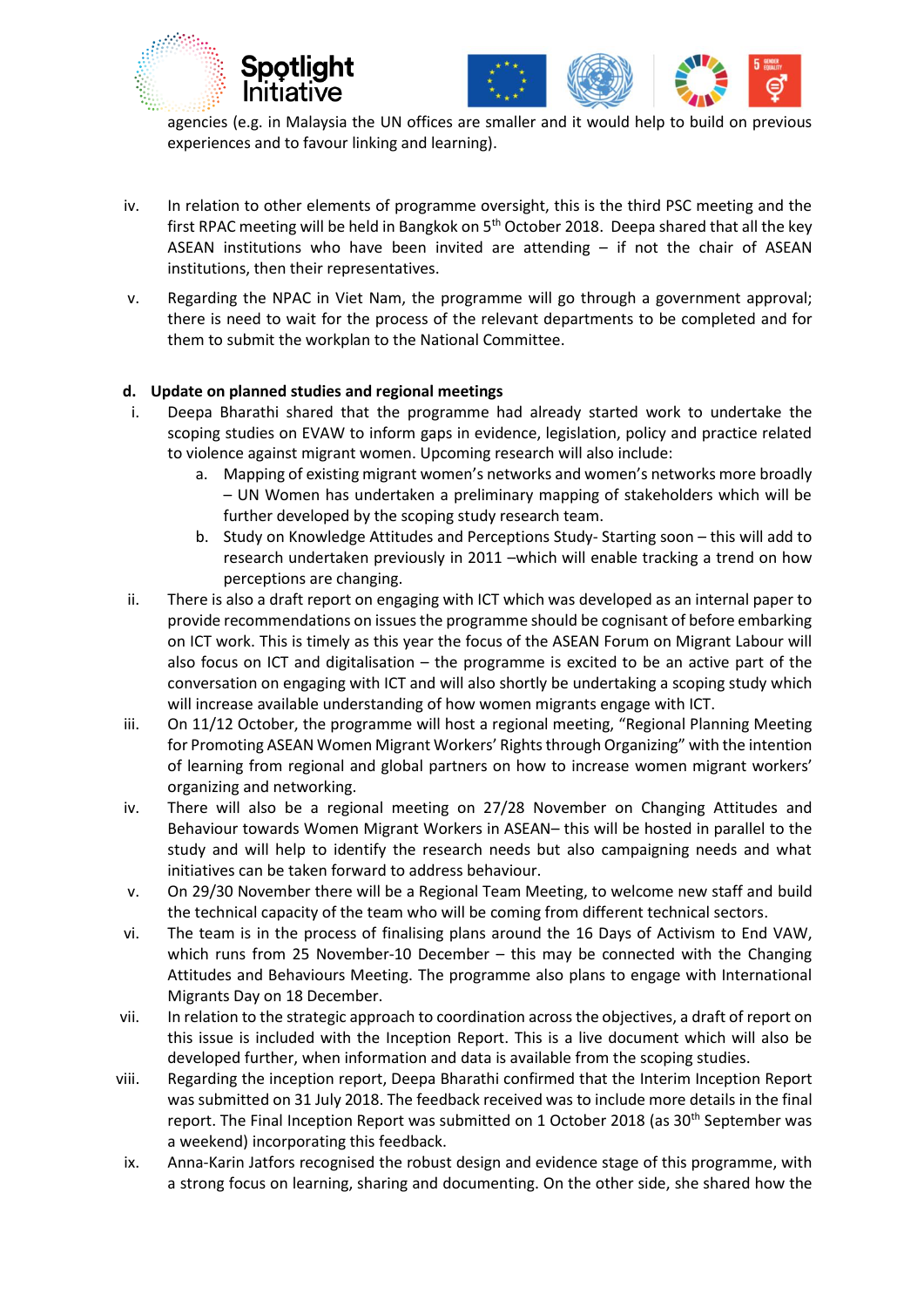



agencies (e.g. in Malaysia the UN offices are smaller and it would help to build on previous experiences and to favour linking and learning).

- iv. In relation to other elements of programme oversight, this is the third PSC meeting and the first RPAC meeting will be held in Bangkok on  $5<sup>th</sup>$  October 2018. Deepa shared that all the key ASEAN institutions who have been invited are attending – if not the chair of ASEAN institutions, then their representatives.
- v. Regarding the NPAC in Viet Nam, the programme will go through a government approval; there is need to wait for the process of the relevant departments to be completed and for them to submit the workplan to the National Committee.

#### **d. Update on planned studies and regional meetings**

- i. Deepa Bharathi shared that the programme had already started work to undertake the scoping studies on EVAW to inform gaps in evidence, legislation, policy and practice related to violence against migrant women. Upcoming research will also include:
	- a. Mapping of existing migrant women's networks and women's networks more broadly – UN Women has undertaken a preliminary mapping of stakeholders which will be further developed by the scoping study research team.
	- b. Study on Knowledge Attitudes and Perceptions Study- Starting soon this will add to research undertaken previously in 2011 –which will enable tracking a trend on how perceptions are changing.
- ii. There is also a draft report on engaging with ICT which was developed as an internal paper to provide recommendations on issues the programme should be cognisant of before embarking on ICT work. This is timely as this year the focus of the ASEAN Forum on Migrant Labour will also focus on ICT and digitalisation  $-$  the programme is excited to be an active part of the conversation on engaging with ICT and will also shortly be undertaking a scoping study which will increase available understanding of how women migrants engage with ICT.
- iii. On 11/12 October, the programme will host a regional meeting, "Regional Planning Meeting for Promoting ASEAN Women Migrant Workers' Rights through Organizing" with the intention of learning from regional and global partners on how to increase women migrant workers' organizing and networking.
- iv. There will also be a regional meeting on 27/28 November on Changing Attitudes and Behaviour towards Women Migrant Workers in ASEAN– this will be hosted in parallel to the study and will help to identify the research needs but also campaigning needs and what initiatives can be taken forward to address behaviour.
- v. On 29/30 November there will be a Regional Team Meeting, to welcome new staff and build the technical capacity of the team who will be coming from different technical sectors.
- vi. The team is in the process of finalising plans around the 16 Days of Activism to End VAW, which runs from 25 November-10 December – this may be connected with the Changing Attitudes and Behaviours Meeting. The programme also plans to engage with International Migrants Day on 18 December.
- vii. In relation to the strategic approach to coordination across the objectives, a draft of report on this issue is included with the Inception Report. This is a live document which will also be developed further, when information and data is available from the scoping studies.
- viii. Regarding the inception report, Deepa Bharathi confirmed that the Interim Inception Report was submitted on 31 July 2018. The feedback received was to include more details in the final report. The Final Inception Report was submitted on 1 October 2018 (as 30<sup>th</sup> September was a weekend) incorporating this feedback.
- ix. Anna-Karin Jatfors recognised the robust design and evidence stage of this programme, with a strong focus on learning, sharing and documenting. On the other side, she shared how the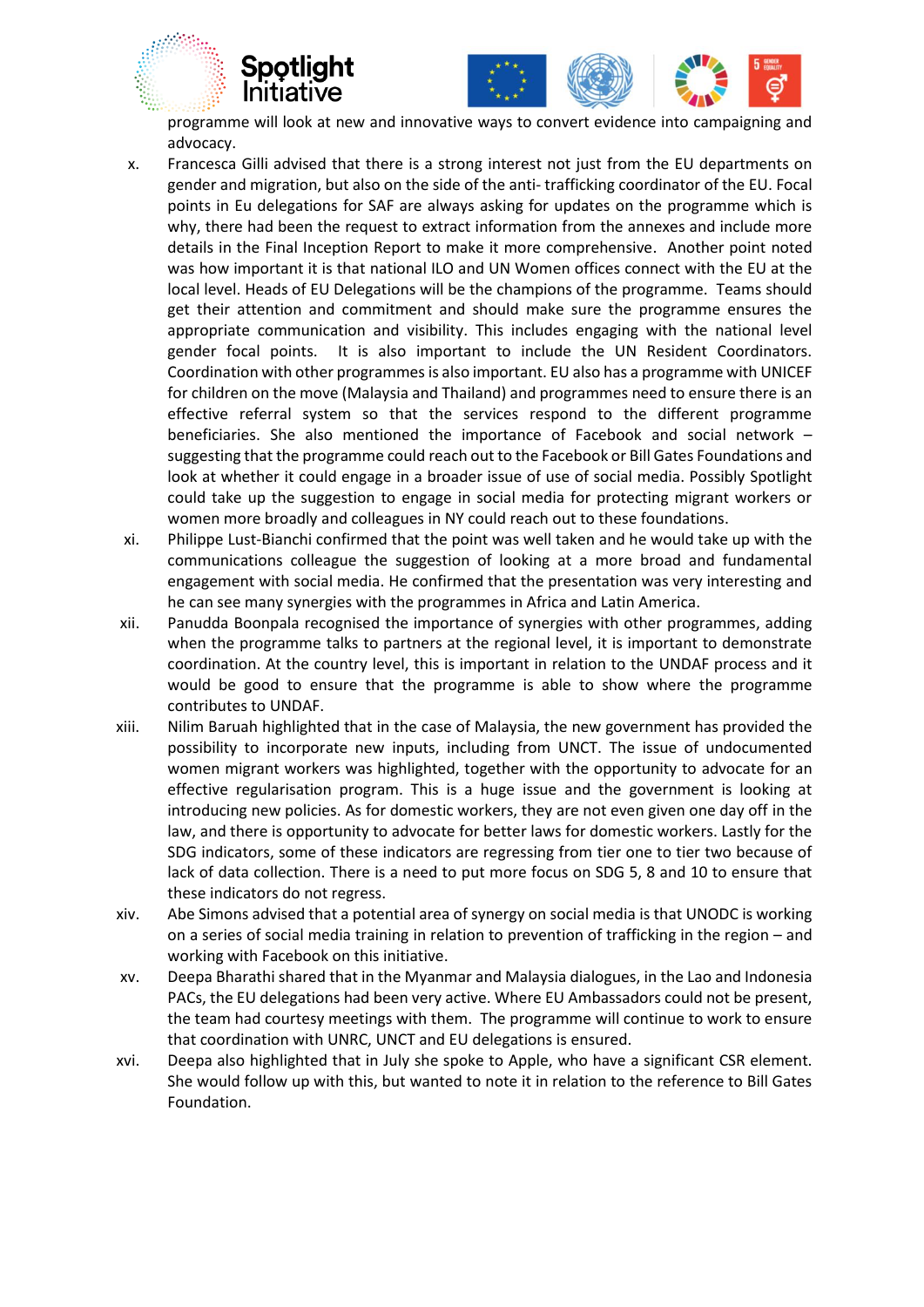



programme will look at new and innovative ways to convert evidence into campaigning and advocacy.

- x. Francesca Gilli advised that there is a strong interest not just from the EU departments on gender and migration, but also on the side of the anti- trafficking coordinator of the EU. Focal points in Eu delegations for SAF are always asking for updates on the programme which is why, there had been the request to extract information from the annexes and include more details in the Final Inception Report to make it more comprehensive. Another point noted was how important it is that national ILO and UN Women offices connect with the EU at the local level. Heads of EU Delegations will be the champions of the programme. Teams should get their attention and commitment and should make sure the programme ensures the appropriate communication and visibility. This includes engaging with the national level gender focal points. It is also important to include the UN Resident Coordinators. Coordination with other programmes is also important. EU also has a programme with UNICEF for children on the move (Malaysia and Thailand) and programmes need to ensure there is an effective referral system so that the services respond to the different programme beneficiaries. She also mentioned the importance of Facebook and social network – suggesting that the programme could reach out to the Facebook or Bill Gates Foundations and look at whether it could engage in a broader issue of use of social media. Possibly Spotlight could take up the suggestion to engage in social media for protecting migrant workers or women more broadly and colleagues in NY could reach out to these foundations.
- xi. Philippe Lust-Bianchi confirmed that the point was well taken and he would take up with the communications colleague the suggestion of looking at a more broad and fundamental engagement with social media. He confirmed that the presentation was very interesting and he can see many synergies with the programmes in Africa and Latin America.
- xii. Panudda Boonpala recognised the importance of synergies with other programmes, adding when the programme talks to partners at the regional level, it is important to demonstrate coordination. At the country level, this is important in relation to the UNDAF process and it would be good to ensure that the programme is able to show where the programme contributes to UNDAF.
- xiii. Nilim Baruah highlighted that in the case of Malaysia, the new government has provided the possibility to incorporate new inputs, including from UNCT. The issue of undocumented women migrant workers was highlighted, together with the opportunity to advocate for an effective regularisation program. This is a huge issue and the government is looking at introducing new policies. As for domestic workers, they are not even given one day off in the law, and there is opportunity to advocate for better laws for domestic workers. Lastly for the SDG indicators, some of these indicators are regressing from tier one to tier two because of lack of data collection. There is a need to put more focus on SDG 5, 8 and 10 to ensure that these indicators do not regress.
- xiv. Abe Simons advised that a potential area of synergy on social media is that UNODC is working on a series of social media training in relation to prevention of trafficking in the region – and working with Facebook on this initiative.
- xv. Deepa Bharathi shared that in the Myanmar and Malaysia dialogues, in the Lao and Indonesia PACs, the EU delegations had been very active. Where EU Ambassadors could not be present, the team had courtesy meetings with them. The programme will continue to work to ensure that coordination with UNRC, UNCT and EU delegations is ensured.
- xvi. Deepa also highlighted that in July she spoke to Apple, who have a significant CSR element. She would follow up with this, but wanted to note it in relation to the reference to Bill Gates Foundation.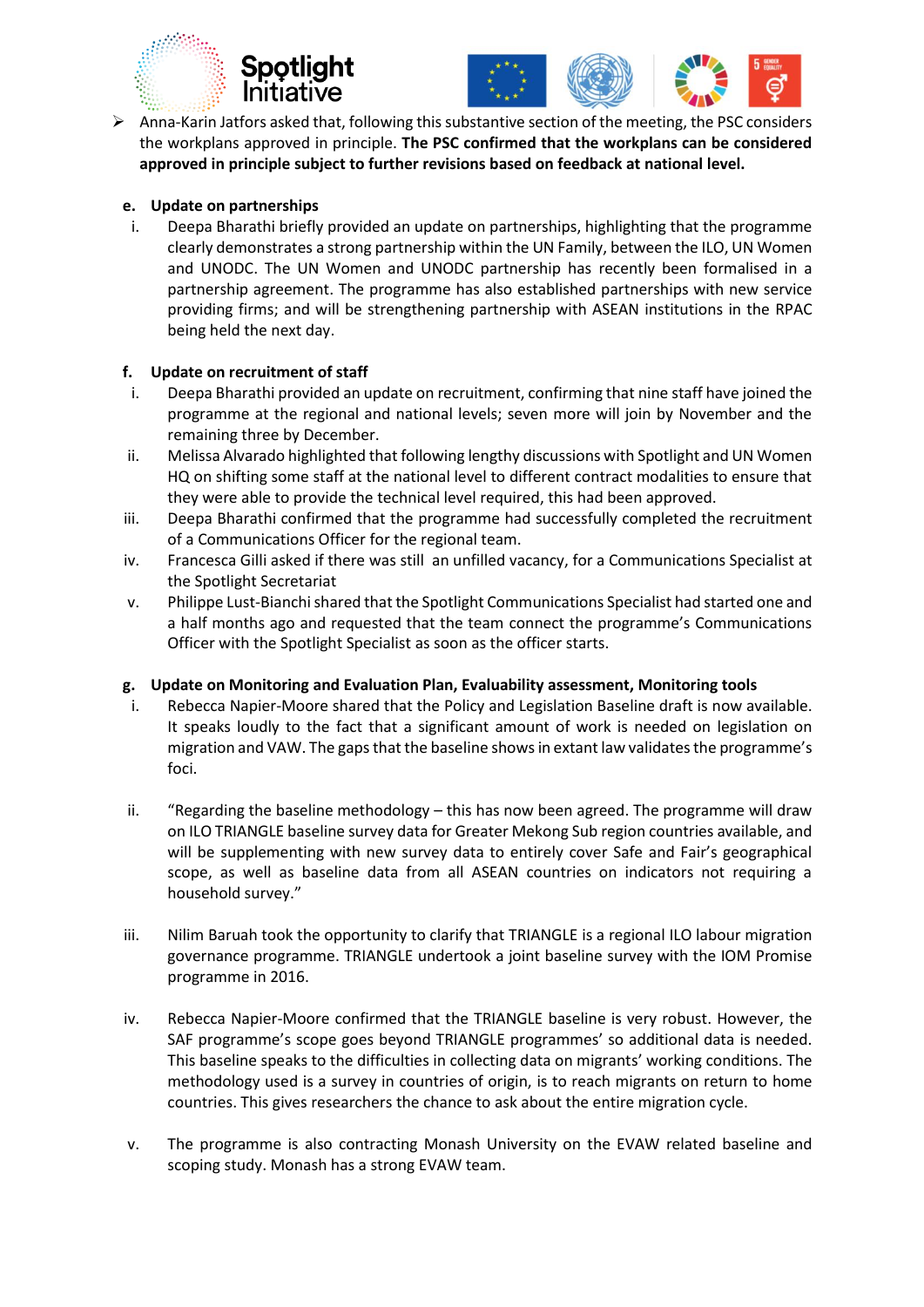





 Anna-Karin Jatfors asked that, following this substantive section of the meeting, the PSC considers the workplans approved in principle. **The PSC confirmed that the workplans can be considered approved in principle subject to further revisions based on feedback at national level.** 

#### **e. Update on partnerships**

i. Deepa Bharathi briefly provided an update on partnerships, highlighting that the programme clearly demonstrates a strong partnership within the UN Family, between the ILO, UN Women and UNODC. The UN Women and UNODC partnership has recently been formalised in a partnership agreement. The programme has also established partnerships with new service providing firms; and will be strengthening partnership with ASEAN institutions in the RPAC being held the next day.

#### **f. Update on recruitment of staff**

- i. Deepa Bharathi provided an update on recruitment, confirming that nine staff have joined the programme at the regional and national levels; seven more will join by November and the remaining three by December.
- ii. Melissa Alvarado highlighted that following lengthy discussions with Spotlight and UN Women HQ on shifting some staff at the national level to different contract modalities to ensure that they were able to provide the technical level required, this had been approved.
- iii. Deepa Bharathi confirmed that the programme had successfully completed the recruitment of a Communications Officer for the regional team.
- iv. Francesca Gilli asked if there was still an unfilled vacancy, for a Communications Specialist at the Spotlight Secretariat
- v. Philippe Lust-Bianchi shared that the Spotlight Communications Specialist had started one and a half months ago and requested that the team connect the programme's Communications Officer with the Spotlight Specialist as soon as the officer starts.

#### **g. Update on Monitoring and Evaluation Plan, Evaluability assessment, Monitoring tools**

- i. Rebecca Napier-Moore shared that the Policy and Legislation Baseline draft is now available. It speaks loudly to the fact that a significant amount of work is needed on legislation on migration and VAW. The gaps that the baseline shows in extant law validates the programme's foci.
- ii. "Regarding the baseline methodology this has now been agreed. The programme will draw on ILO TRIANGLE baseline survey data for Greater Mekong Sub region countries available, and will be supplementing with new survey data to entirely cover Safe and Fair's geographical scope, as well as baseline data from all ASEAN countries on indicators not requiring a household survey."
- iii. Nilim Baruah took the opportunity to clarify that TRIANGLE is a regional ILO labour migration governance programme. TRIANGLE undertook a joint baseline survey with the IOM Promise programme in 2016.
- iv. Rebecca Napier-Moore confirmed that the TRIANGLE baseline is very robust. However, the SAF programme's scope goes beyond TRIANGLE programmes' so additional data is needed. This baseline speaks to the difficulties in collecting data on migrants' working conditions. The methodology used is a survey in countries of origin, is to reach migrants on return to home countries. This gives researchers the chance to ask about the entire migration cycle.
- v. The programme is also contracting Monash University on the EVAW related baseline and scoping study. Monash has a strong EVAW team.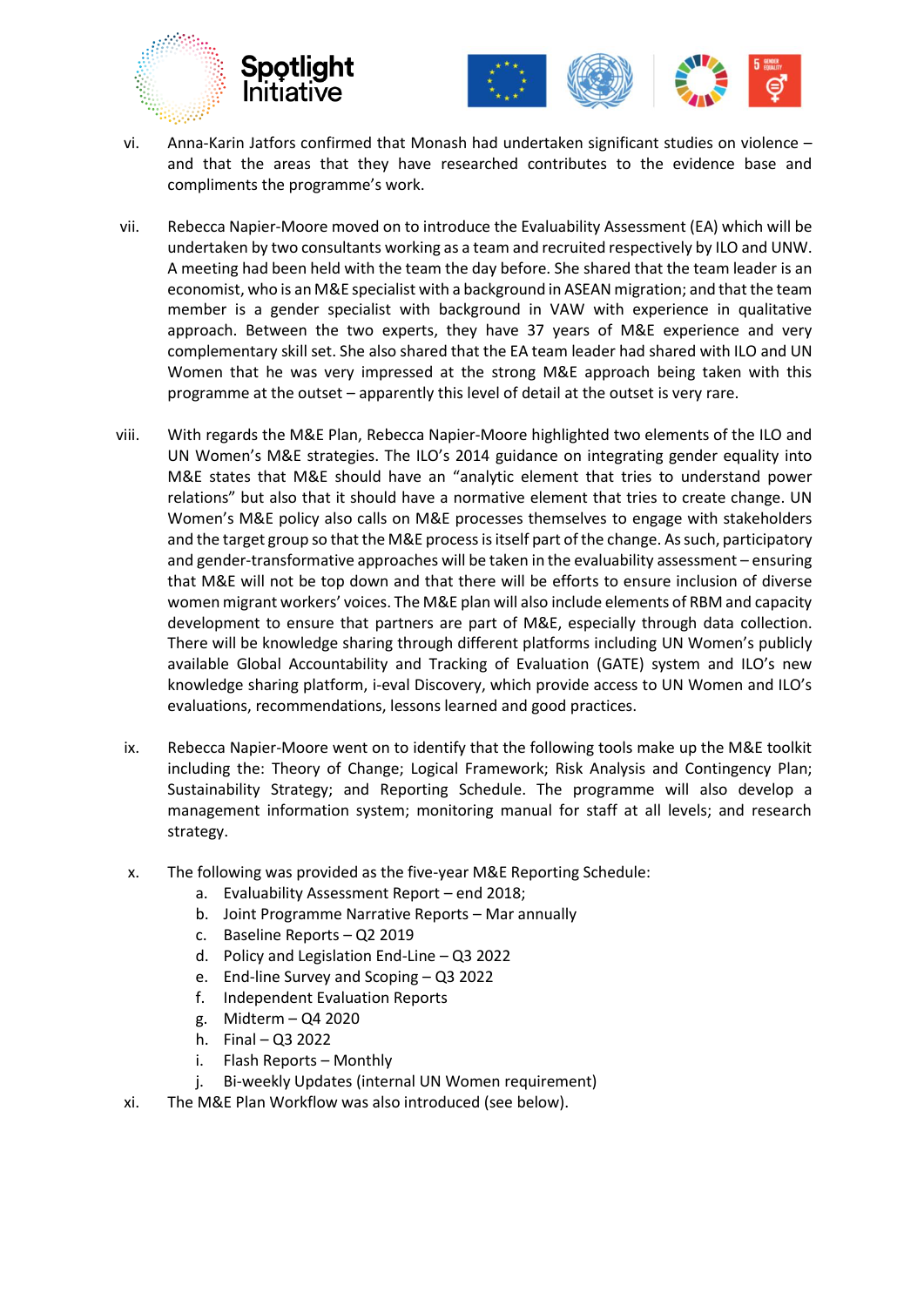



- vi. Anna-Karin Jatfors confirmed that Monash had undertaken significant studies on violence and that the areas that they have researched contributes to the evidence base and compliments the programme's work.
- vii. Rebecca Napier-Moore moved on to introduce the Evaluability Assessment (EA) which will be undertaken by two consultants working as a team and recruited respectively by ILO and UNW. A meeting had been held with the team the day before. She shared that the team leader is an economist, who is an M&E specialist with a background in ASEAN migration; and that the team member is a gender specialist with background in VAW with experience in qualitative approach. Between the two experts, they have 37 years of M&E experience and very complementary skill set. She also shared that the EA team leader had shared with ILO and UN Women that he was very impressed at the strong M&E approach being taken with this programme at the outset – apparently this level of detail at the outset is very rare.
- viii. With regards the M&E Plan, Rebecca Napier-Moore highlighted two elements of the ILO and UN Women's M&E strategies. The ILO's 2014 guidance on integrating gender equality into M&E states that M&E should have an "analytic element that tries to understand power relations" but also that it should have a normative element that tries to create change. UN Women's M&E policy also calls on M&E processes themselves to engage with stakeholders and the target group so that the M&E process is itself part of the change. As such, participatory and gender-transformative approaches will be taken in the evaluability assessment – ensuring that M&E will not be top down and that there will be efforts to ensure inclusion of diverse women migrant workers' voices. The M&E plan will also include elements of RBM and capacity development to ensure that partners are part of M&E, especially through data collection. There will be knowledge sharing through different platforms including UN Women's publicly available Global Accountability and Tracking of Evaluation (GATE) system and ILO's new knowledge sharing platform, i-eval Discovery, which provide access to UN Women and ILO's evaluations, recommendations, lessons learned and good practices.
- ix. Rebecca Napier-Moore went on to identify that the following tools make up the M&E toolkit including the: Theory of Change; Logical Framework; Risk Analysis and Contingency Plan; Sustainability Strategy; and Reporting Schedule. The programme will also develop a management information system; monitoring manual for staff at all levels; and research strategy.
- x. The following was provided as the five-year M&E Reporting Schedule:
	- a. Evaluability Assessment Report end 2018;
	- b. Joint Programme Narrative Reports Mar annually
	- c. Baseline Reports Q2 2019
	- d. Policy and Legislation End-Line Q3 2022
	- e. End-line Survey and Scoping Q3 2022
	- f. Independent Evaluation Reports
	- g. Midterm Q4 2020
	- h. Final Q3 2022
	- i. Flash Reports Monthly
	- j. Bi-weekly Updates (internal UN Women requirement)
- xi. The M&E Plan Workflow was also introduced (see below).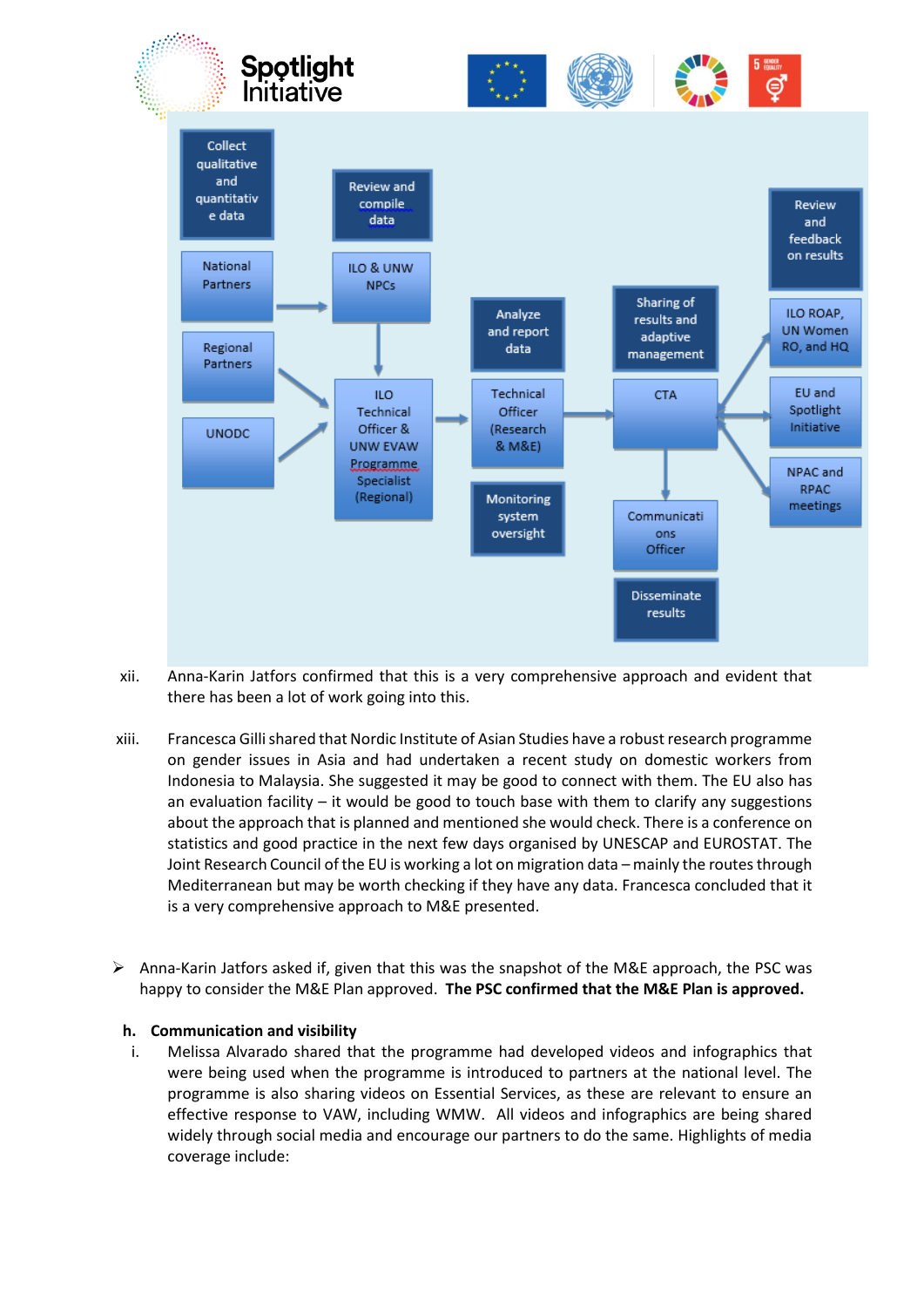

- xii. Anna-Karin Jatfors confirmed that this is a very comprehensive approach and evident that there has been a lot of work going into this.
- xiii. Francesca Gilli shared that Nordic Institute of Asian Studies have a robust research programme on gender issues in Asia and had undertaken a recent study on domestic workers from Indonesia to Malaysia. She suggested it may be good to connect with them. The EU also has an evaluation facility  $-$  it would be good to touch base with them to clarify any suggestions about the approach that is planned and mentioned she would check. There is a conference on statistics and good practice in the next few days organised by UNESCAP and EUROSTAT. The Joint Research Council of the EU is working a lot on migration data – mainly the routes through Mediterranean but may be worth checking if they have any data. Francesca concluded that it is a very comprehensive approach to M&E presented.
- $\triangleright$  Anna-Karin Jatfors asked if, given that this was the snapshot of the M&E approach, the PSC was happy to consider the M&E Plan approved. **The PSC confirmed that the M&E Plan is approved.**

#### **h. Communication and visibility**

i. Melissa Alvarado shared that the programme had developed videos and infographics that were being used when the programme is introduced to partners at the national level. The programme is also sharing videos on Essential Services, as these are relevant to ensure an effective response to VAW, including WMW. All videos and infographics are being shared widely through social media and encourage our partners to do the same. Highlights of media coverage include: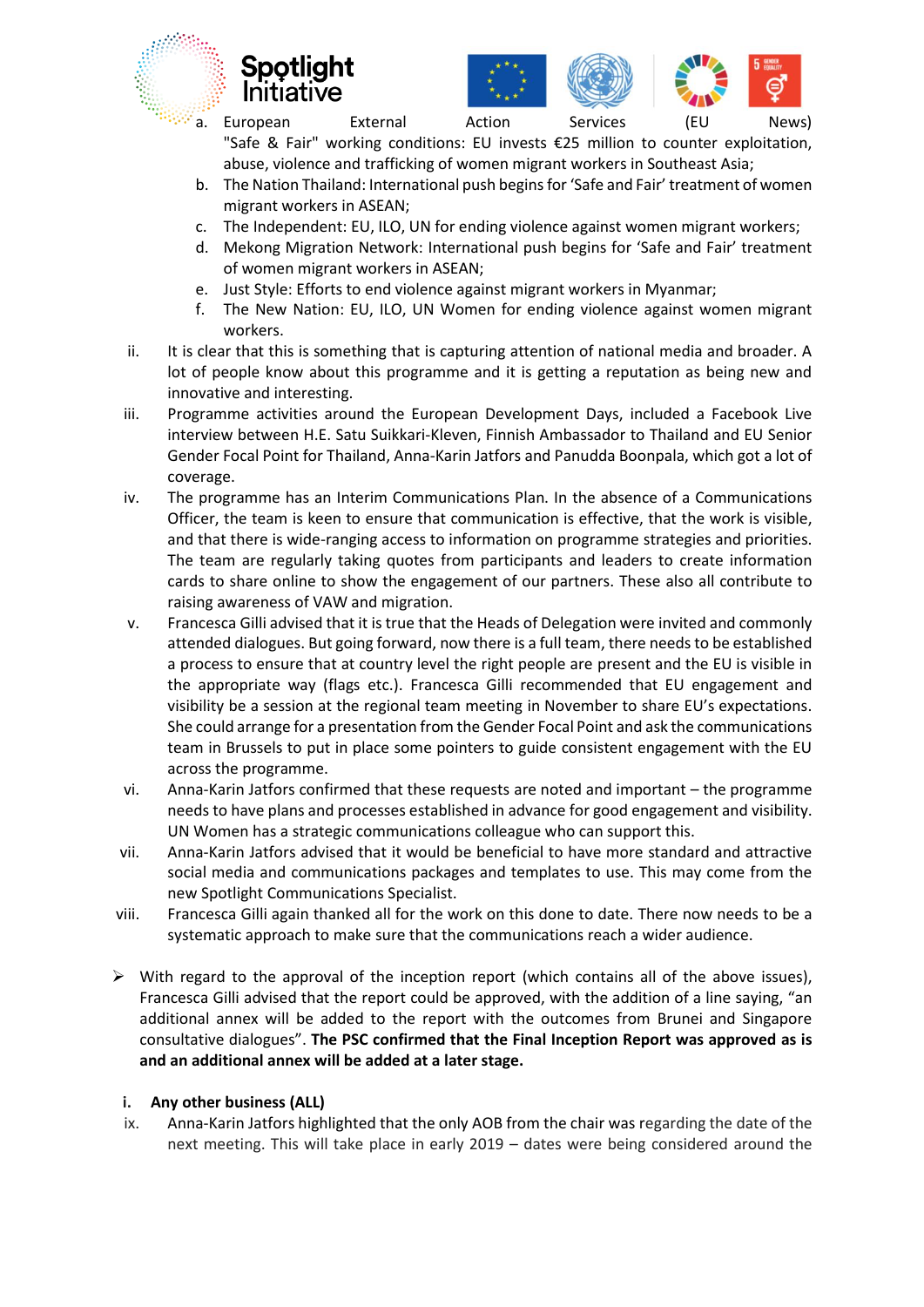



a. European External Action Services (EU News) "Safe & Fair" working conditions: EU invests €25 million to counter exploitation,

abuse, violence and trafficking of women migrant workers in Southeast Asia;

- b. The Nation Thailand: International push begins for 'Safe and Fair' treatment of women migrant workers in ASEAN;
- c. The Independent: EU, ILO, UN for ending violence against women migrant workers;
- d. Mekong Migration Network: International push begins for 'Safe and Fair' treatment of women migrant workers in ASEAN;
- e. Just Style: Efforts to end violence against migrant workers in Myanmar;
- f. The New Nation: EU, ILO, UN Women for ending violence against women migrant workers.
- ii. It is clear that this is something that is capturing attention of national media and broader. A lot of people know about this programme and it is getting a reputation as being new and innovative and interesting.
- iii. Programme activities around the European Development Days, included a Facebook Live interview between H.E. Satu Suikkari-Kleven, Finnish Ambassador to Thailand and EU Senior Gender Focal Point for Thailand, Anna-Karin Jatfors and Panudda Boonpala, which got a lot of coverage.
- iv. The programme has an Interim Communications Plan. In the absence of a Communications Officer, the team is keen to ensure that communication is effective, that the work is visible, and that there is wide-ranging access to information on programme strategies and priorities. The team are regularly taking quotes from participants and leaders to create information cards to share online to show the engagement of our partners. These also all contribute to raising awareness of VAW and migration.
- v. Francesca Gilli advised that it is true that the Heads of Delegation were invited and commonly attended dialogues. But going forward, now there is a full team, there needs to be established a process to ensure that at country level the right people are present and the EU is visible in the appropriate way (flags etc.). Francesca Gilli recommended that EU engagement and visibility be a session at the regional team meeting in November to share EU's expectations. She could arrange for a presentation from the Gender Focal Point and ask the communications team in Brussels to put in place some pointers to guide consistent engagement with the EU across the programme.
- vi. Anna-Karin Jatfors confirmed that these requests are noted and important the programme needs to have plans and processes established in advance for good engagement and visibility. UN Women has a strategic communications colleague who can support this.
- vii. Anna-Karin Jatfors advised that it would be beneficial to have more standard and attractive social media and communications packages and templates to use. This may come from the new Spotlight Communications Specialist.
- viii. Francesca Gilli again thanked all for the work on this done to date. There now needs to be a systematic approach to make sure that the communications reach a wider audience.
- $\triangleright$  With regard to the approval of the inception report (which contains all of the above issues), Francesca Gilli advised that the report could be approved, with the addition of a line saying, "an additional annex will be added to the report with the outcomes from Brunei and Singapore consultative dialogues". **The PSC confirmed that the Final Inception Report was approved as is and an additional annex will be added at a later stage.**

## **i. Any other business (ALL)**

ix. Anna-Karin Jatfors highlighted that the only AOB from the chair was regarding the date of the next meeting. This will take place in early 2019 – dates were being considered around the